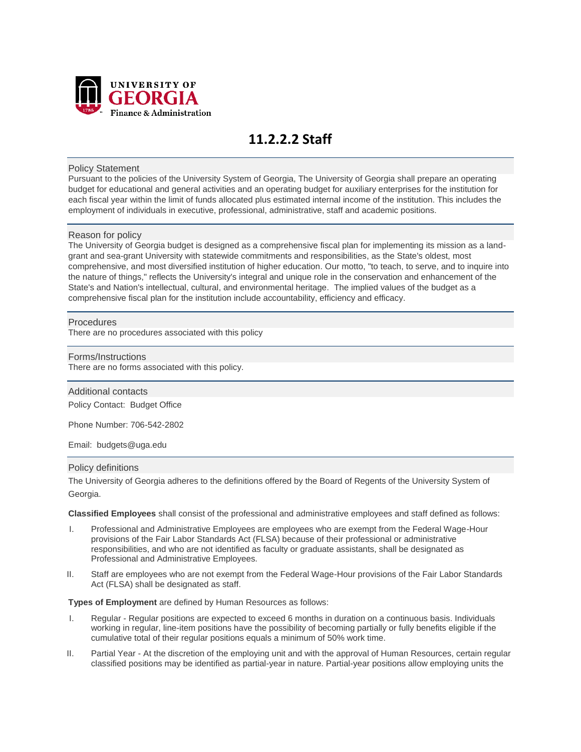

# **11.2.2.2 Staff**

## Policy Statement

Pursuant to the policies of the University System of Georgia, The University of Georgia shall prepare an operating budget for educational and general activities and an operating budget for auxiliary enterprises for the institution for each fiscal year within the limit of funds allocated plus estimated internal income of the institution. This includes the employment of individuals in executive, professional, administrative, staff and academic positions.

## Reason for policy

The University of Georgia budget is designed as a comprehensive fiscal plan for implementing its mission as a landgrant and sea-grant University with statewide commitments and responsibilities, as the State's oldest, most comprehensive, and most diversified institution of higher education. Our motto, "to teach, to serve, and to inquire into the nature of things," reflects the University's integral and unique role in the conservation and enhancement of the State's and Nation's intellectual, cultural, and environmental heritage. The implied values of the budget as a comprehensive fiscal plan for the institution include accountability, efficiency and efficacy.

## **Procedures**

There are no procedures associated with this policy

#### Forms/Instructions

There are no forms associated with this policy.

## Additional contacts

Policy Contact: Budget Office

Phone Number: 706-542-2802

Email: budgets@uga.edu

#### Policy definitions

The University of Georgia adheres to the definitions offered by the Board of Regents of the University System of Georgia.

**Classified Employees** shall consist of the professional and administrative employees and staff defined as follows:

- I. Professional and Administrative Employees are employees who are exempt from the Federal Wage-Hour provisions of the Fair Labor Standards Act (FLSA) because of their professional or administrative responsibilities, and who are not identified as faculty or graduate assistants, shall be designated as Professional and Administrative Employees.
- II. Staff are employees who are not exempt from the Federal Wage-Hour provisions of the Fair Labor Standards Act (FLSA) shall be designated as staff.

#### **Types of Employment** are defined by Human Resources as follows:

- I. Regular Regular positions are expected to exceed 6 months in duration on a continuous basis. Individuals working in regular, line-item positions have the possibility of becoming partially or fully benefits eligible if the cumulative total of their regular positions equals a minimum of 50% work time.
- II. Partial Year At the discretion of the employing unit and with the approval of Human Resources, certain regular classified positions may be identified as partial-year in nature. Partial-year positions allow employing units the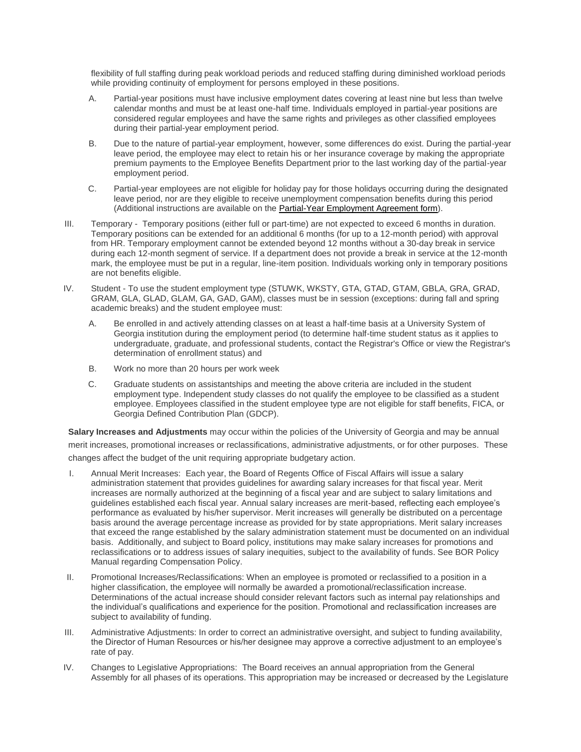flexibility of full staffing during peak workload periods and reduced staffing during diminished workload periods while providing continuity of employment for persons employed in these positions.

- A. Partial-year positions must have inclusive employment dates covering at least nine but less than twelve calendar months and must be at least one-half time. Individuals employed in partial-year positions are considered regular employees and have the same rights and privileges as other classified employees during their partial-year employment period.
- B. Due to the nature of partial-year employment, however, some differences do exist. During the partial-year leave period, the employee may elect to retain his or her insurance coverage by making the appropriate premium payments to the Employee Benefits Department prior to the last working day of the partial-year employment period.
- C. Partial-year employees are not eligible for holiday pay for those holidays occurring during the designated leave period, nor are they eligible to receive unemployment compensation benefits during this period (Additional instructions are available on the Partial-Year [Employment](http://busfin.uga.edu/forms/pyear.pdf) Agreement form).
- III. Temporary Temporary positions (either full or part-time) are not expected to exceed 6 months in duration. Temporary positions can be extended for an additional 6 months (for up to a 12-month period) with approval from HR. Temporary employment cannot be extended beyond 12 months without a 30-day break in service during each 12-month segment of service. If a department does not provide a break in service at the 12-month mark, the employee must be put in a regular, line-item position. Individuals working only in temporary positions are not benefits eligible.
- IV. Student To use the student employment type (STUWK, WKSTY, GTA, GTAD, GTAM, GBLA, GRA, GRAD, GRAM, GLA, GLAD, GLAM, GA, GAD, GAM), classes must be in session (exceptions: during fall and spring academic breaks) and the student employee must:
	- A. Be enrolled in and actively attending classes on at least a half-time basis at a University System of Georgia institution during the employment period (to determine half-time student status as it applies to undergraduate, graduate, and professional students, contact the Registrar's Office or view the Registrar's determination of enrollment status) and
	- B. Work no more than 20 hours per work week
	- C. Graduate students on assistantships and meeting the above criteria are included in the student employment type. Independent study classes do not qualify the employee to be classified as a student employee. Employees classified in the student employee type are not eligible for staff benefits, FICA, or Georgia Defined Contribution Plan (GDCP).

**Salary Increases and Adjustments** may occur within the policies of the University of Georgia and may be annual merit increases, promotional increases or reclassifications, administrative adjustments, or for other purposes. These changes affect the budget of the unit requiring appropriate budgetary action.

- I. Annual Merit Increases: Each year, the Board of Regents Office of Fiscal Affairs will issue a salary administration statement that provides guidelines for awarding salary increases for that fiscal year. Merit increases are normally authorized at the beginning of a fiscal year and are subject to salary limitations and guidelines established each fiscal year. Annual salary increases are merit-based, reflecting each employee's performance as evaluated by his/her supervisor. Merit increases will generally be distributed on a percentage basis around the average percentage increase as provided for by state appropriations. Merit salary increases that exceed the range established by the salary administration statement must be documented on an individual basis. Additionally, and subject to Board policy, institutions may make salary increases for promotions and reclassifications or to address issues of salary inequities, subject to the availability of funds. See BOR Policy Manual regarding Compensation Policy.
- II. Promotional Increases/Reclassifications: When an employee is promoted or reclassified to a position in a higher classification, the employee will normally be awarded a promotional/reclassification increase. Determinations of the actual increase should consider relevant factors such as internal pay relationships and the individual's qualifications and experience for the position. Promotional and reclassification increases are subject to availability of funding.
- III. Administrative Adjustments: In order to correct an administrative oversight, and subject to funding availability, the Director of Human Resources or his/her designee may approve a corrective adjustment to an employee's rate of pay.
- IV. Changes to Legislative Appropriations: The Board receives an annual appropriation from the General Assembly for all phases of its operations. This appropriation may be increased or decreased by the Legislature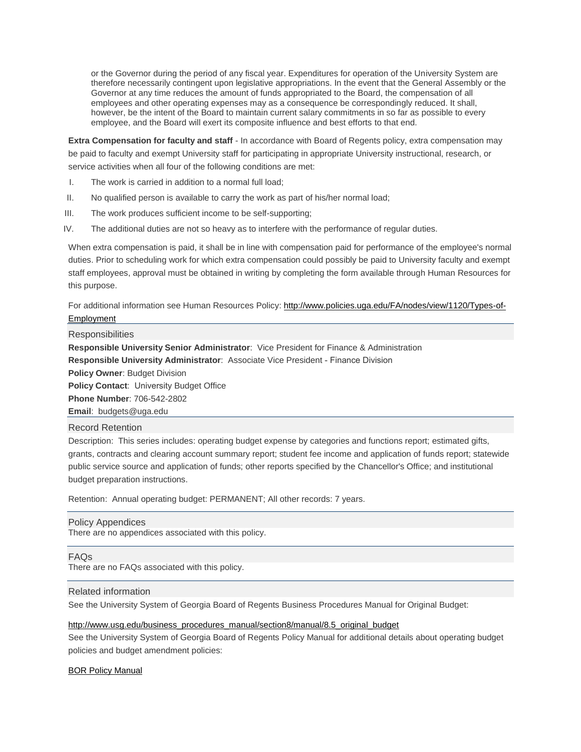or the Governor during the period of any fiscal year. Expenditures for operation of the University System are therefore necessarily contingent upon legislative appropriations. In the event that the General Assembly or the Governor at any time reduces the amount of funds appropriated to the Board, the compensation of all employees and other operating expenses may as a consequence be correspondingly reduced. It shall, however, be the intent of the Board to maintain current salary commitments in so far as possible to every employee, and the Board will exert its composite influence and best efforts to that end.

**Extra Compensation for faculty and staff** - In accordance with Board of Regents policy, extra compensation may be paid to faculty and exempt University staff for participating in appropriate University instructional, research, or service activities when all four of the following conditions are met:

- I. The work is carried in addition to a normal full load;
- II. No qualified person is available to carry the work as part of his/her normal load;
- III. The work produces sufficient income to be self-supporting;
- IV. The additional duties are not so heavy as to interfere with the performance of regular duties.

When extra compensation is paid, it shall be in line with compensation paid for performance of the employee's normal duties. Prior to scheduling work for which extra compensation could possibly be paid to University faculty and exempt staff employees, approval must be obtained in writing by completing the form available through Human Resources for this purpose.

For additional information see Human Resources Policy: [http://www.policies.uga.edu/FA/nodes/view/1120/Types-of-](http://www.policies.uga.edu/FA/nodes/view/1120/Types-of-Employment)[Employment](http://www.policies.uga.edu/FA/nodes/view/1120/Types-of-Employment)

#### **Responsibilities**

**Responsible University Senior Administrator**: Vice President for Finance & Administration **Responsible University Administrator**: Associate Vice President - Finance Division **Policy Owner**: Budget Division **Policy Contact**: University Budget Office **Phone Number**: 706-542-2802 **Email**: budgets@uga.edu Record Retention

Description: This series includes: operating budget expense by categories and functions report; estimated gifts, grants, contracts and clearing account summary report; student fee income and application of funds report; statewide public service source and application of funds; other reports specified by the Chancellor's Office; and institutional budget preparation instructions.

Retention: Annual operating budget: PERMANENT; All other records: 7 years.

Policy Appendices There are no appendices associated with this policy.

#### FAQs

There are no FAQs associated with this policy.

## Related information

See the University System of Georgia Board of Regents Business Procedures Manual for Original Budget:

## [http://www.usg.edu/business\\_procedures\\_manual/section8/manual/8.5\\_original\\_budget](http://www.usg.edu/business_procedures_manual/section8/manual/8.5_original_budget)

See the University System of Georgia Board of Regents Policy Manual for additional details about operating budget policies and budget amendment policies:

## BOR Policy [Manual](http://www.usg.edu/policymanual/)